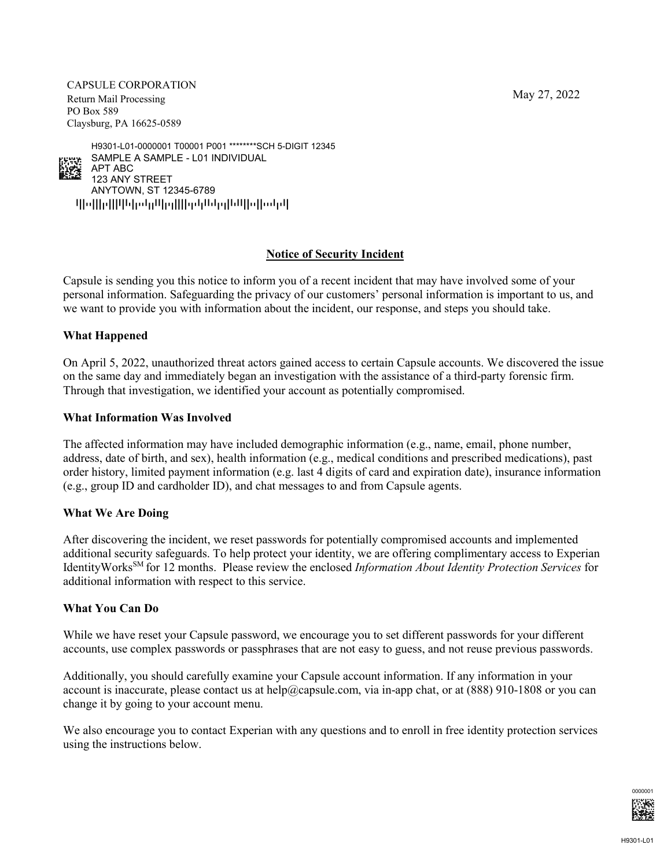May 27, 2022

CAPSULE CORPORATION Return Mail Processing PO Box 589 Claysburg, PA 16625-0589

qpoppqppppopppppppppppppppppppppppp ANYTOWN, ST 12345-6789 123 ANY STREET APT ABC SAMPLE A SAMPLE - L01 INDIVIDUAL H9301-L01-0000001 T00001 P001 \*\*\*\*\*\*\*\*SCH 5-DIGIT 12345

# **Notice of Security Incident**

Capsule is sending you this notice to inform you of a recent incident that may have involved some of your personal information. Safeguarding the privacy of our customers' personal information is important to us, and we want to provide you with information about the incident, our response, and steps you should take.

## **What Happened**

alger<br>Nota

On April 5, 2022, unauthorized threat actors gained access to certain Capsule accounts. We discovered the issue on the same day and immediately began an investigation with the assistance of a third-party forensic firm. Through that investigation, we identified your account as potentially compromised.

## **What Information Was Involved**

The affected information may have included demographic information (e.g., name, email, phone number, address, date of birth, and sex), health information (e.g., medical conditions and prescribed medications), past order history, limited payment information (e.g. last 4 digits of card and expiration date), insurance information (e.g., group ID and cardholder ID), and chat messages to and from Capsule agents.

## **What We Are Doing**

After discovering the incident, we reset passwords for potentially compromised accounts and implemented additional security safeguards. To help protect your identity, we are offering complimentary access to Experian IdentityWorksSM for 12 months. Please review the enclosed *Information About Identity Protection Services* for additional information with respect to this service.

## **What You Can Do**

While we have reset your Capsule password, we encourage you to set different passwords for your different accounts, use complex passwords or passphrases that are not easy to guess, and not reuse previous passwords.

Additionally, you should carefully examine your Capsule account information. If any information in your account is inaccurate, please contact us at help@capsule.com, via in-app chat, or at  $(888)$  910-1808 or you can change it by going to your account menu.

We also encourage you to contact Experian with any questions and to enroll in free identity protection services using the instructions below.

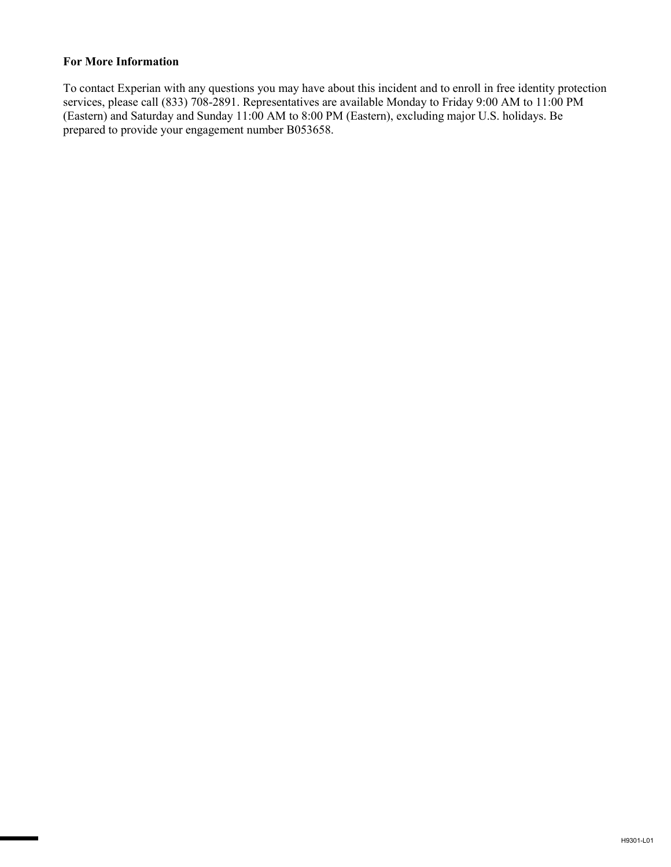## **For More Information**

To contact Experian with any questions you may have about this incident and to enroll in free identity protection services, please call (833) 708-2891. Representatives are available Monday to Friday 9:00 AM to 11:00 PM (Eastern) and Saturday and Sunday 11:00 AM to 8:00 PM (Eastern), excluding major U.S. holidays. Be prepared to provide your engagement number B053658.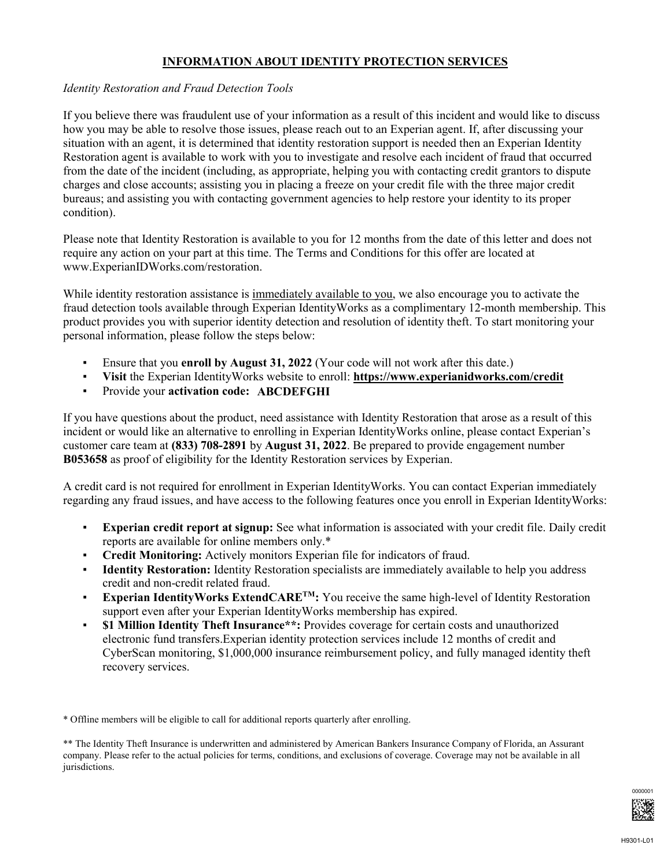# **INFORMATION ABOUT IDENTITY PROTECTION SERVICES**

## *Identity Restoration and Fraud Detection Tools*

If you believe there was fraudulent use of your information as a result of this incident and would like to discuss how you may be able to resolve those issues, please reach out to an Experian agent. If, after discussing your situation with an agent, it is determined that identity restoration support is needed then an Experian Identity Restoration agent is available to work with you to investigate and resolve each incident of fraud that occurred from the date of the incident (including, as appropriate, helping you with contacting credit grantors to dispute charges and close accounts; assisting you in placing a freeze on your credit file with the three major credit bureaus; and assisting you with contacting government agencies to help restore your identity to its proper condition).

Please note that Identity Restoration is available to you for 12 months from the date of this letter and does not require any action on your part at this time. The Terms and Conditions for this offer are located at www.ExperianIDWorks.com/restoration.

While identity restoration assistance is immediately available to you, we also encourage you to activate the fraud detection tools available through Experian IdentityWorks as a complimentary 12-month membership. This product provides you with superior identity detection and resolution of identity theft. To start monitoring your personal information, please follow the steps below:

- Ensure that you **enroll by August 31, 2022** (Your code will not work after this date.)
- **Visit** the Experian IdentityWorks website to enroll: **https://www.experianidworks.com/credit**
- Provide your **activation code: ABCDEFGHI**

If you have questions about the product, need assistance with Identity Restoration that arose as a result of this incident or would like an alternative to enrolling in Experian IdentityWorks online, please contact Experian's customer care team at **(833) 708-2891** by **August 31, 2022**. Be prepared to provide engagement number **B053658** as proof of eligibility for the Identity Restoration services by Experian.

A credit card is not required for enrollment in Experian IdentityWorks. You can contact Experian immediately regarding any fraud issues, and have access to the following features once you enroll in Experian IdentityWorks:

- **Experian credit report at signup:** See what information is associated with your credit file. Daily credit reports are available for online members only.\*
- **Credit Monitoring:** Actively monitors Experian file for indicators of fraud.
- **Identity Restoration:** Identity Restoration specialists are immediately available to help you address credit and non-credit related fraud.
- **Experian IdentityWorks ExtendCARE<sup>TM</sup>:** You receive the same high-level of Identity Restoration support even after your Experian IdentityWorks membership has expired.
- **\$1 Million Identity Theft Insurance\*\*:** Provides coverage for certain costs and unauthorized electronic fund transfers.Experian identity protection services include 12 months of credit and CyberScan monitoring, \$1,000,000 insurance reimbursement policy, and fully managed identity theft recovery services.

\* Offline members will be eligible to call for additional reports quarterly after enrolling.

\*\* The Identity Theft Insurance is underwritten and administered by American Bankers Insurance Company of Florida, an Assurant company. Please refer to the actual policies for terms, conditions, and exclusions of coverage. Coverage may not be available in all jurisdictions.

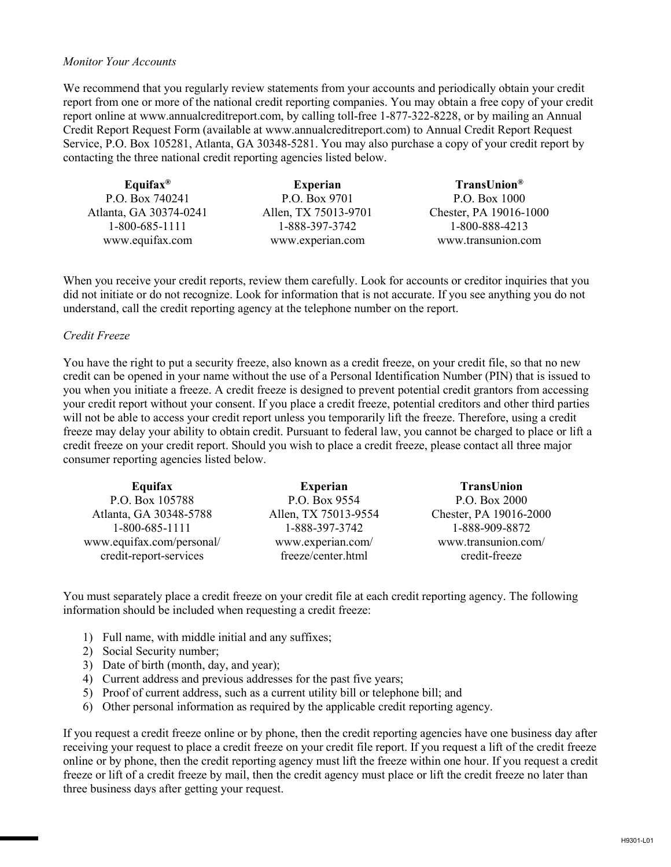### *Monitor Your Accounts*

We recommend that you regularly review statements from your accounts and periodically obtain your credit report from one or more of the national credit reporting companies. You may obtain a free copy of your credit report online at www.annualcreditreport.com, by calling toll-free 1-877-322-8228, or by mailing an Annual Credit Report Request Form (available at www.annualcreditreport.com) to Annual Credit Report Request Service, P.O. Box 105281, Atlanta, GA 30348-5281. You may also purchase a copy of your credit report by contacting the three national credit reporting agencies listed below.

| Equifax <sup>®</sup>   | <b>Experian</b>      | TransUnion <sup>®</sup> |
|------------------------|----------------------|-------------------------|
| P.O. Box 740241        | P.O. Box 9701        | P.O. Box 1000           |
| Atlanta, GA 30374-0241 | Allen, TX 75013-9701 | Chester, PA 19016-1000  |
| 1-800-685-1111         | 1-888-397-3742       | 1-800-888-4213          |
| www.equifax.com        | www.experian.com     | www.transunion.com      |

When you receive your credit reports, review them carefully. Look for accounts or creditor inquiries that you did not initiate or do not recognize. Look for information that is not accurate. If you see anything you do not understand, call the credit reporting agency at the telephone number on the report.

### *Credit Freeze*

You have the right to put a security freeze, also known as a credit freeze, on your credit file, so that no new credit can be opened in your name without the use of a Personal Identification Number (PIN) that is issued to you when you initiate a freeze. A credit freeze is designed to prevent potential credit grantors from accessing your credit report without your consent. If you place a credit freeze, potential creditors and other third parties will not be able to access your credit report unless you temporarily lift the freeze. Therefore, using a credit freeze may delay your ability to obtain credit. Pursuant to federal law, you cannot be charged to place or lift a credit freeze on your credit report. Should you wish to place a credit freeze, please contact all three major consumer reporting agencies listed below.

| Equifax                                             | <b>Experian</b>                         | <b>TransUnion</b>                    |
|-----------------------------------------------------|-----------------------------------------|--------------------------------------|
| P.O. Box 105788                                     | P.O. Box 9554                           | P.O. Box 2000                        |
| Atlanta, GA 30348-5788                              | Allen, TX 75013-9554                    | Chester, PA 19016-2000               |
| 1-800-685-1111                                      | 1-888-397-3742                          | 1-888-909-8872                       |
| www.equifax.com/personal/<br>credit-report-services | www.experian.com/<br>freeze/center.html | www.transunion.com/<br>credit-freeze |

You must separately place a credit freeze on your credit file at each credit reporting agency. The following information should be included when requesting a credit freeze:

- 1) Full name, with middle initial and any suffixes;
- 2) Social Security number;
- 3) Date of birth (month, day, and year);
- 4) Current address and previous addresses for the past five years;
- 5) Proof of current address, such as a current utility bill or telephone bill; and
- 6) Other personal information as required by the applicable credit reporting agency.

If you request a credit freeze online or by phone, then the credit reporting agencies have one business day after receiving your request to place a credit freeze on your credit file report. If you request a lift of the credit freeze online or by phone, then the credit reporting agency must lift the freeze within one hour. If you request a credit freeze or lift of a credit freeze by mail, then the credit agency must place or lift the credit freeze no later than three business days after getting your request.